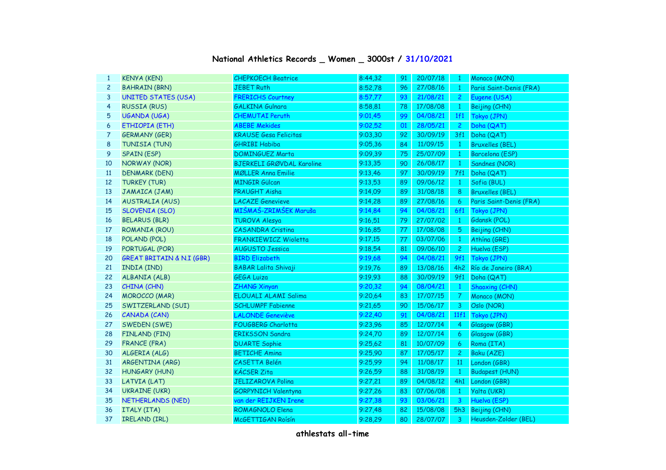## **National Athletics Records \_ Women \_ 3000st / 31/10/2021**

| $\mathbf{1}$   | <b>KENYA (KEN)</b>                   | <b>CHEPKOECH Beatrice</b>        | 8:44,32 | 91 | 20/07/18 | $\overline{1}$ | Monaco (MON)            |
|----------------|--------------------------------------|----------------------------------|---------|----|----------|----------------|-------------------------|
| $\overline{c}$ | <b>BAHRAIN (BRN)</b>                 | <b>JEBET Ruth</b>                | 8:52,78 | 96 | 27/08/16 | $\mathbf{1}$   | Paris Saint-Denis (FRA) |
| 3              | <b>UNITED STATES (USA)</b>           | <b>FRERICHS Courtney</b>         | 8:57,77 | 93 | 21/08/21 | $\overline{2}$ | Eugene (USA)            |
| 4              | <b>RUSSIA (RUS)</b>                  | <b>GALKINA Gulnara</b>           | 8:58,81 | 78 | 17/08/08 | $\mathbf{1}$   | Beijing (CHN)           |
| 5              | <b>UGANDA (UGA)</b>                  | <b>CHEMUTAI Peruth</b>           | 9:01,45 | 99 | 04/08/21 | 1f1            | Tokyo (JPN)             |
| 6              | ETHIOPIA (ETH)                       | <b>ABEBE Mekides</b>             | 9:02,52 | 01 | 28/05/21 | $\overline{2}$ | Doha (QAT)              |
| 7              | <b>GERMANY (GER)</b>                 | <b>KRAUSE Gesa Felicitas</b>     | 9:03,30 | 92 | 30/09/19 | 3f1            | Doha (QAT)              |
| 8              | TUNISIA (TUN)                        | <b>GHRIBI Habiba</b>             | 9:05.36 | 84 | 11/09/15 | $\mathbf{1}$   | <b>Bruxelles (BEL)</b>  |
| 9              | <b>SPAIN (ESP)</b>                   | <b>DOMINGUEZ Marta</b>           | 9:09,39 | 75 | 25/07/09 | $\mathbf{1}$   | Barcelona (ESP)         |
| 10             | NORWAY (NOR)                         | <b>BJERKELI GRØVDAL Karoline</b> | 9:13,35 | 90 | 26/08/17 | $\mathbf{1}$   | Sandnes (NOR)           |
| 11             | <b>DENMARK (DEN)</b>                 | <b>MØLLER Anna Emilie</b>        | 9:13,46 | 97 | 30/09/19 | 7f1            | Doha (QAT)              |
| 12             | <b>TURKEY (TUR)</b>                  | <b>MINGIR Gülcan</b>             | 9:13,53 | 89 | 09/06/12 | $\mathbf{1}$   | Sofia (BUL)             |
| 13             | JAMAICA (JAM)                        | PRAUGHT Aisha                    | 9:14,09 | 89 | 31/08/18 | 8              | <b>Bruxelles (BEL)</b>  |
| 14             | <b>AUSTRALIA (AUS)</b>               | <b>LACAZE Genevieve</b>          | 9:14,28 | 89 | 27/08/16 | 6              | Paris Saint-Denis (FRA) |
| 15             | <b>SLOVENIA (SLO)</b>                | MIŠMAŠ-ZRIMŠEK Maruša            | 9:14.84 | 94 | 04/08/21 | 6f1            | Tokyo (JPN)             |
| 16             | <b>BELARUS (BLR)</b>                 | <b>TUROVA Alesya</b>             | 9:16,51 | 79 | 27/07/02 | $\mathbf{1}$   | Gdansk (POL)            |
| 17             | ROMANIA (ROU)                        | <b>CASANDRA Cristina</b>         | 9:16,85 | 77 | 17/08/08 | 5              | Beijing (CHN)           |
| 18             | POLAND (POL)                         | FRANKIEWICZ Wioletta             | 9:17,15 | 77 | 03/07/06 | $\mathbf{1}$   | Athina (GRE)            |
| 19             | PORTUGAL (POR)                       | <b>AUGUSTO Jessica</b>           | 9:18,54 | 81 | 09/06/10 | $2^{\circ}$    | Huelva (ESP)            |
| 20             | <b>GREAT BRITAIN &amp; N.I (GBR)</b> | <b>BIRD Elizabeth</b>            | 9:19,68 | 94 | 04/08/21 | 9f1            | Tokyo (JPN)             |
| 21             | INDIA (IND)                          | <b>BABAR Lalita Shivaji</b>      | 9:19,76 | 89 | 13/08/16 | 4h2            | Río de Janeiro (BRA)    |
| 22             | ALBANIA (ALB)                        | <b>GEGA Luiza</b>                | 9:19,93 | 88 | 30/09/19 | 9f1            | Doha (QAT)              |
| 23             | CHINA (CHN)                          | <b>ZHANG Xinyan</b>              | 9:20,32 | 94 | 08/04/21 | $\mathbf{1}$   | <b>Shaoxing (CHN)</b>   |
| 24             | <b>MOROCCO (MAR)</b>                 | ELOUALI ALAMI Salima             | 9:20,64 | 83 | 17/07/15 | 7 <sup>7</sup> | Monaco (MON)            |
| 25             | SWITZERLAND (SUI)                    | <b>SCHLUMPF Fabienne</b>         | 9:21,65 | 90 | 15/06/17 | 3 <sup>7</sup> | Oslo (NOR)              |
| 26             | CANADA (CAN)                         | <b>LALONDE Geneviève</b>         | 9:22,40 | 91 | 04/08/21 | 11f1           | Tokyo (JPN)             |
| 27             | SWEDEN (SWE)                         | FOUGBERG Charlotta               | 9:23,96 | 85 | 12/07/14 | $\overline{4}$ | Glasgow (GBR)           |
| 28             | FINLAND (FIN)                        | <b>ERIKSSON Sandra</b>           | 9:24,70 | 89 | 12/07/14 | 6              | Glasgow (GBR)           |
| 29             | <b>FRANCE (FRA)</b>                  | <b>DUARTE Sophie</b>             | 9:25,62 | 81 | 10/07/09 | 6              | Roma (ITA)              |
| 30             | ALGERIA (ALG)                        | <b>BETICHE Amina</b>             | 9:25,90 | 87 | 17/05/17 | $\mathbf{2}$   | Baku (AZE)              |
| 31             | ARGENTINA (ARG)                      | <b>CASETTA Belén</b>             | 9:25,99 | 94 | 11/08/17 | <b>11</b>      | London (GBR)            |
| 32             | <b>HUNGARY (HUN)</b>                 | <b>KÁCSER Zita</b>               | 9:26,59 | 88 | 31/08/19 | $\mathbf{1}$   | <b>Budapest (HUN)</b>   |
| 33             | LATVIA (LAT)                         | <b>JELIZAROVA Polina</b>         | 9:27,21 | 89 | 04/08/12 | 4h1            | London (GBR)            |
| 34             | <b>UKRAINE (UKR)</b>                 | GORPYNICH Valentyna              | 9:27,26 | 83 | 07/06/08 | $\mathbf{1}$   | Yalta (UKR)             |
| 35             | NETHERLANDS (NED)                    | van der REIJKEN Irene            | 9:27,38 | 93 | 03/06/21 | $\overline{3}$ | Huelva (ESP)            |
| 36             | ITALY (ITA)                          | ROMAGNOLO Elena                  | 9:27,48 | 82 | 15/08/08 | 5h3            | Beijing (CHN)           |
| 37             | IRELAND (IRL)                        | McGETTIGAN Roisin                | 9:28,29 | 80 | 28/07/07 | $\mathbf{3}$   | Heusden-Zolder (BEL)    |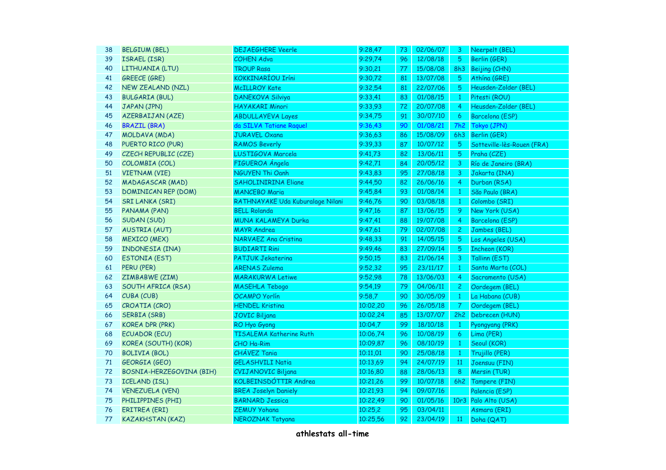| 38 | <b>BELGIUM (BEL)</b>       | <b>DEJAEGHERE Veerle</b>         | 9:28,47  | 73 | 02/06/07 | 3              | Neerpelt (BEL)             |
|----|----------------------------|----------------------------------|----------|----|----------|----------------|----------------------------|
| 39 | ISRAEL (ISR)               | <b>COHEN Adva</b>                | 9:29,74  | 96 | 12/08/18 | 5              | Berlin (GER)               |
| 40 | LITHUANIA (LTU)            | <b>TROUP Rasa</b>                | 9:30,21  | 77 | 15/08/08 | 8h3            | Beijing (CHN)              |
| 41 | <b>GREECE (GRE)</b>        | <b>KOKKINARÍOU Iríni</b>         | 9:30,72  | 81 | 13/07/08 | 5              | Athína (GRE)               |
| 42 | NEW ZEALAND (NZL)          | <b>McILLROY Kate</b>             | 9:32,54  | 81 | 22/07/06 | 5              | Heusden-Zolder (BEL)       |
| 43 | <b>BULGARIA (BUL)</b>      | <b>DANEKOVA Silviya</b>          | 9:33,41  | 83 | 01/08/15 | $\mathbf{1}$   | Pitesti (ROU)              |
| 44 | JAPAN (JPN)                | <b>HAYAKARI Minori</b>           | 9:33,93  | 72 | 20/07/08 | $\overline{4}$ | Heusden-Zolder (BEL)       |
| 45 | <b>AZERBAIJAN (AZE)</b>    | <b>ABDULLAYEVA Layes</b>         | 9:34,75  | 91 | 30/07/10 | 6              | Barcelona (ESP)            |
| 46 | <b>BRAZIL (BRA)</b>        | da SILVA Tatiane Raquel          | 9:36,43  | 90 | 01/08/21 | <b>7h2</b>     | Tokyo (JPN)                |
| 47 | MOLDAVA (MDA)              | <b>JURAVEL Oxana</b>             | 9:36,63  | 86 | 15/08/09 | 6h3            | Berlin (GER)               |
| 48 | PUERTO RICO (PUR)          | <b>RAMOS Beverly</b>             | 9:39,33  | 87 | 10/07/12 | 5              | Sotteville-lès-Rouen (FRA) |
| 49 | CZECH REPUBLIC (CZE)       | LUSTIGOVA Marcela                | 9:41,73  | 82 | 13/06/11 | 5              | Praha (CZE)                |
| 50 | COLOMBIA (COL)             | FIGUEROA Ángela                  | 9:42,71  | 84 | 20/05/12 | 3              | Río de Janeiro (BRA)       |
| 51 | <b>VIETNAM (VIE)</b>       | <b>NGUYEN Thi Oanh</b>           | 9:43,83  | 95 | 27/08/18 | 3              | Jakarta (INA)              |
| 52 | <b>MADAGASCAR (MAD)</b>    | <b>SAHOLINIRINA Eliane</b>       | 9:44,50  | 82 | 26/06/16 | $\overline{4}$ | Durban (RSA)               |
| 53 | <b>DOMINICAN REP (DOM)</b> | <b>MANCEBO Maria</b>             | 9:45,84  | 93 | 01/08/14 | $\mathbf{1}$   | São Paulo (BRA)            |
| 54 | <b>SRI LANKA (SRI)</b>     | RATHNAYAKE Uda Kuburalage Nilani | 9:46,76  | 90 | 03/08/18 | $\mathbf{1}$   | Colombo (SRI)              |
| 55 | PANAMA (PAN)               | <b>BELL Rolanda</b>              | 9:47,16  | 87 | 13/06/15 | 9              | New York (USA)             |
| 56 | SUDAN (SUD)                | MUNA KALAMEYA Durka              | 9:47,41  | 88 | 19/07/08 | $\overline{4}$ | Barcelona (ESP)            |
| 57 | <b>AUSTRIA (AUT)</b>       | <b>MAYR Andrea</b>               | 9:47,61  | 79 | 02/07/08 | 2 <sup>1</sup> | Jambes (BEL)               |
| 58 | <b>MEXICO (MEX)</b>        | NARVAEZ Ana Cristina             | 9:48,33  | 91 | 14/05/15 | 5              | Los Angeles (USA)          |
| 59 | INDONESIA (INA)            | <b>BUDIARTI Rini</b>             | 9:49,46  | 83 | 27/09/14 | 5              | Incheon (KOR)              |
| 60 | <b>ESTONIA (EST)</b>       | <b>PATJUK Jekaterina</b>         | 9:50,15  | 83 | 21/06/14 | $\mathbf{3}$   | Tallinn (EST)              |
| 61 | PERU (PER)                 | <b>ARENAS Zulema</b>             | 9:52,32  | 95 | 23/11/17 | $\mathbf{1}$   | Santa Marta (COL)          |
| 62 | ZIMBABWE (ZIM)             | <b>MARAKURWA Letiwe</b>          | 9:52,98  | 78 | 13/06/03 | $\overline{4}$ | Sacramento (USA)           |
| 63 | SOUTH AFRICA (RSA)         | <b>MASEHLA Tebogo</b>            | 9:54,19  | 79 | 04/06/11 | $2 -$          | Oordegem (BEL)             |
| 64 | CUBA (CUB)                 | OCAMPO Yorlín                    | 9:58,7   | 90 | 30/05/09 | $\mathbf{1}$   | La Habana (CUB)            |
| 65 | CROATIA (CRO)              | <b>HENDEL Kristina</b>           | 10:02,20 | 96 | 26/05/18 | 7 <sup>1</sup> | Oordegem (BEL)             |
| 66 | <b>SERBIA (SRB)</b>        | <b>JOVIC Biljana</b>             | 10:02,24 | 85 | 13/07/07 | 2h2            | Debrecen (HUN)             |
| 67 | <b>KOREA DPR (PRK)</b>     | RO Hyo Gyong                     | 10:04,7  | 99 | 18/10/18 | $\mathbf{1}$   | Pyongyang (PRK)            |
| 68 | <b>ECUADOR (ECU)</b>       | TISALEMA Katherine Ruth          | 10:06,74 | 96 | 10/08/19 | 6              | Lima (PER)                 |
| 69 | KOREA (SOUTH) (KOR)        | CHO Ha-Rim                       | 10:09,87 | 96 | 08/10/19 | $\mathbf{1}$   | Seoul (KOR)                |
| 70 | <b>BOLIVIA (BOL)</b>       | CHÁVEZ Tania                     | 10:11,01 | 90 | 25/08/18 | $\mathbf{1}$   | Trujillo (PER)             |
| 71 | <b>GEORGIA (GEO)</b>       | <b>GELASHVILI Natia</b>          | 10:13,69 | 94 | 24/07/19 | 11             | Joensuu (FIN)              |
| 72 | BOSNIA-HERZEGOVINA (BIH)   | <b>CVIJANOVIC Biljana</b>        | 10:16,80 | 88 | 28/06/13 | 8              | Mersin (TUR)               |
| 73 | <b>ICELAND (ISL)</b>       | KOLBEINSDÓTTIR Andrea            | 10:21,26 | 99 | 10/07/18 | 6h2            | Tampere (FIN)              |
| 74 | <b>VENEZUELA (VEN)</b>     | <b>BREA Joselyn Daniely</b>      | 10:21,93 | 94 | 09/07/16 |                | Palencia (ESP)             |
| 75 | PHILIPPINES (PHI)          | <b>BARNARD Jessica</b>           | 10:22,49 | 90 | 01/05/16 | 10r3           | Palo Alto (USA)            |
| 76 | <b>ERITREA (ERI)</b>       | <b>ZEMUY Yohana</b>              | 10:25,2  | 95 | 03/04/11 |                | Asmara (ERI)               |
| 77 | <b>KAZAKHSTAN (KAZ)</b>    | NEROZNAK Tatyana                 | 10:25,56 | 92 | 23/04/19 | 11             | Doha (QAT)                 |